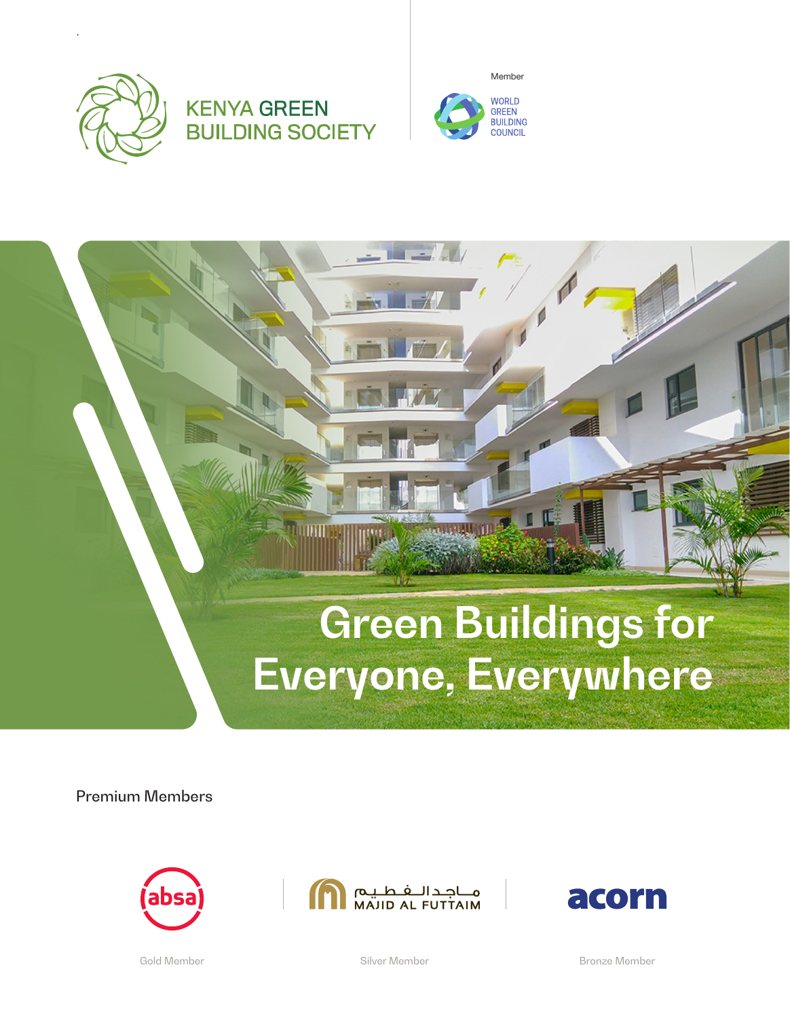









Premium Members







Gold Member Silver Member Bronze Member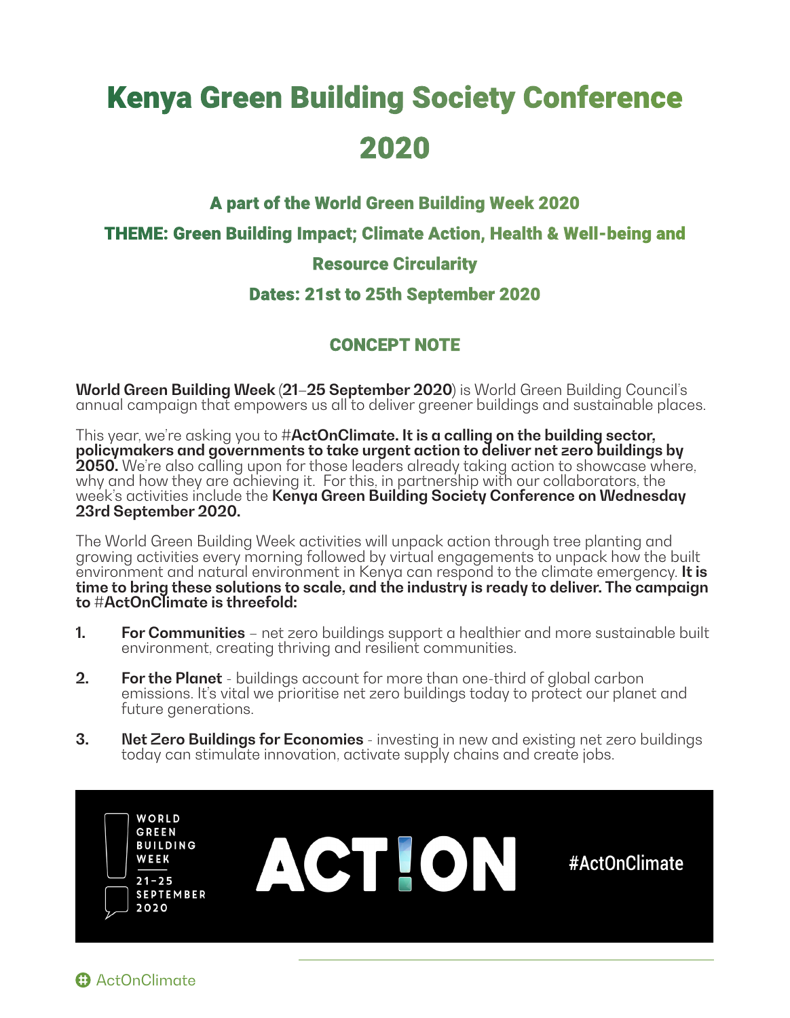# **Kenya Green Building Society Conference** 2020

#### A part of the World Green Building Week 2020

THEME: Green Building Impact; Climate Action, Health & Well-being and

### Resource Circularity

#### Dates: 21st to 25th September 2020

## CONCEPT NOTE

**World Green Building Week (21–25 September 2020)** is World Green Building Council's annual campaign that empowers us all to deliver greener buildings and sustainable places.

This year, we're asking you to **#ActOnClimate. It is a calling on the building sector, policymakers and governments to take urgent action to deliver net zero buildings by 2050.** We're also calling upon for those leaders already taking action to showcase where, why and how they are achieving it. For this, in partnership with our collaborators, the week's activities include the **Kenya Green Building Society Conference on Wednesday 23rd September 2020.**

The World Green Building Week activities will unpack action through tree planting and growing activities every morning followed by virtual engagements to unpack how the built environment and natural environment in Kenya can respond to the climate emergency. **It is time to bring these solutions to scale, and the industry is ready to deliver. The campaign to #ActOnClimate is threefold:**

- **1. For Communities** net zero buildings support a healthier and more sustainable built environment, creating thriving and resilient communities.
- **2. For the Planet** buildings account for more than one-third of global carbon emissions. It's vital we prioritise net zero buildings today to protect our planet and future generations.
- **3. Net Zero Buildings for Economies**  investing in new and existing net zero buildings today can stimulate innovation, activate supply chains and create jobs.

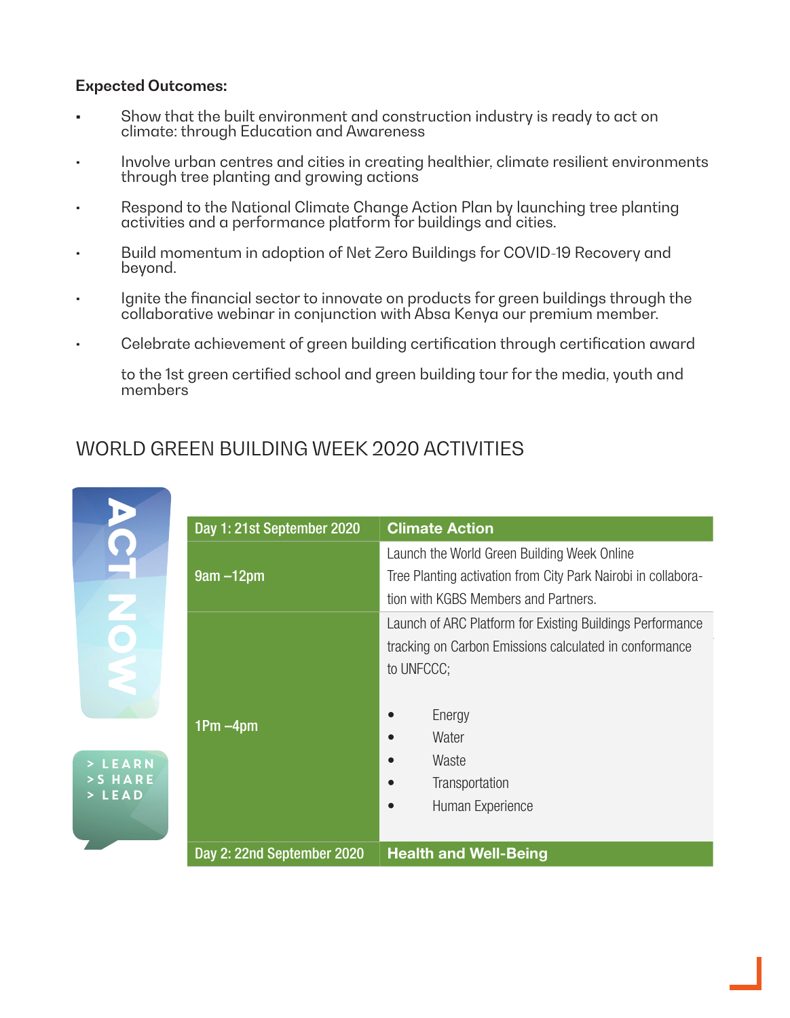#### **Expected Outcomes:**

- **•** Show that the built environment and construction industry is ready to act on climate: through Education and Awareness
- Involve urban centres and cities in creating healthier, climate resilient environments through tree planting and growing actions
- Respond to the National Climate Change Action Plan by launching tree planting activities and a performance platform for buildings and cities.
- Build momentum in adoption of Net Zero Buildings for COVID-19 Recovery and beyond.
- Ignite the financial sector to innovate on products for green buildings through the collaborative webinar in conjunction with Absa Kenya our premium member.
- Celebrate achievement of green building certification through certification award

to the 1st green certified school and green building tour for the media, youth and members

# WORLD GREEN BUILDING WEEK 2020 ACTIVITIES

|                                                 | Day 1: 21st September 2020 | <b>Climate Action</b>                                                                                                                                                                               |
|-------------------------------------------------|----------------------------|-----------------------------------------------------------------------------------------------------------------------------------------------------------------------------------------------------|
|                                                 | $9am - 12pm$               | Launch the World Green Building Week Online<br>Tree Planting activation from City Park Nairobi in collabora-<br>tion with KGBS Members and Partners.                                                |
| <b>NOV</b><br>LEARN<br>$>$ SHARE<br><b>LEAD</b> | $1Pm - 4pm$                | Launch of ARC Platform for Existing Buildings Performance<br>tracking on Carbon Emissions calculated in conformance<br>to UNFCCC;<br>Energy<br>Water<br>Waste<br>Transportation<br>Human Experience |
|                                                 | Day 2: 22nd September 2020 | <b>Health and Well-Being</b>                                                                                                                                                                        |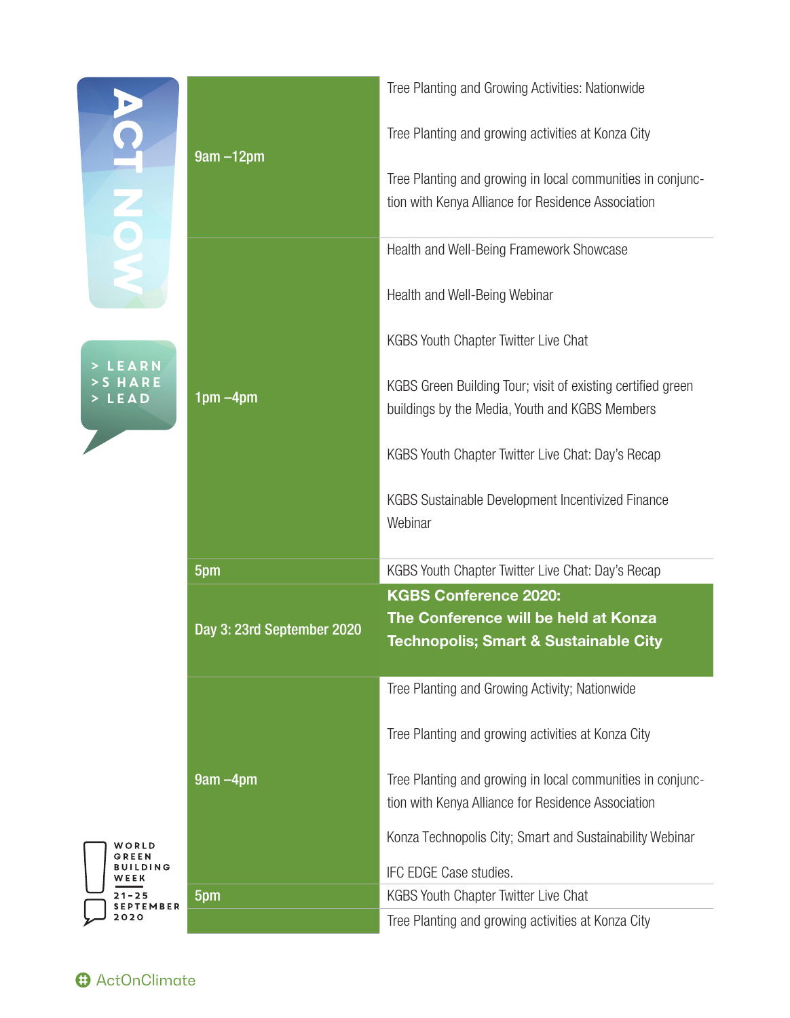| Q<br>XOX<br><b>EARN</b><br>ARE<br><b>EAD</b> | $9am - 12pm$               | Tree Planting and Growing Activities: Nationwide                                                                 |
|----------------------------------------------|----------------------------|------------------------------------------------------------------------------------------------------------------|
|                                              |                            | Tree Planting and growing activities at Konza City                                                               |
|                                              |                            | Tree Planting and growing in local communities in conjunc-<br>tion with Kenya Alliance for Residence Association |
|                                              |                            | Health and Well-Being Framework Showcase                                                                         |
|                                              |                            | Health and Well-Being Webinar                                                                                    |
|                                              | $1pm - 4pm$                | KGBS Youth Chapter Twitter Live Chat                                                                             |
|                                              |                            | KGBS Green Building Tour; visit of existing certified green<br>buildings by the Media, Youth and KGBS Members    |
|                                              |                            | KGBS Youth Chapter Twitter Live Chat: Day's Recap                                                                |
|                                              |                            | KGBS Sustainable Development Incentivized Finance<br>Webinar                                                     |
|                                              |                            |                                                                                                                  |
|                                              | 5pm                        | KGBS Youth Chapter Twitter Live Chat: Day's Recap                                                                |
|                                              |                            | <b>KGBS Conference 2020:</b>                                                                                     |
|                                              | Day 3: 23rd September 2020 | The Conference will be held at Konza<br><b>Technopolis; Smart &amp; Sustainable City</b>                         |
|                                              |                            | Tree Planting and Growing Activity; Nationwide                                                                   |
|                                              |                            | Tree Planting and growing activities at Konza City                                                               |
|                                              | $9am - 4pm$                | Tree Planting and growing in local communities in conjunc-<br>tion with Kenya Alliance for Residence Association |
| WORLD                                        |                            | Konza Technopolis City; Smart and Sustainability Webinar                                                         |
| GREEN<br>BUILDING<br>WEEK                    |                            | IFC EDGE Case studies.                                                                                           |
| $21 - 25$<br><b>SEPTEMBER</b><br>2020        | 5pm                        | <b>KGBS Youth Chapter Twitter Live Chat</b><br>Tree Planting and growing activities at Konza City                |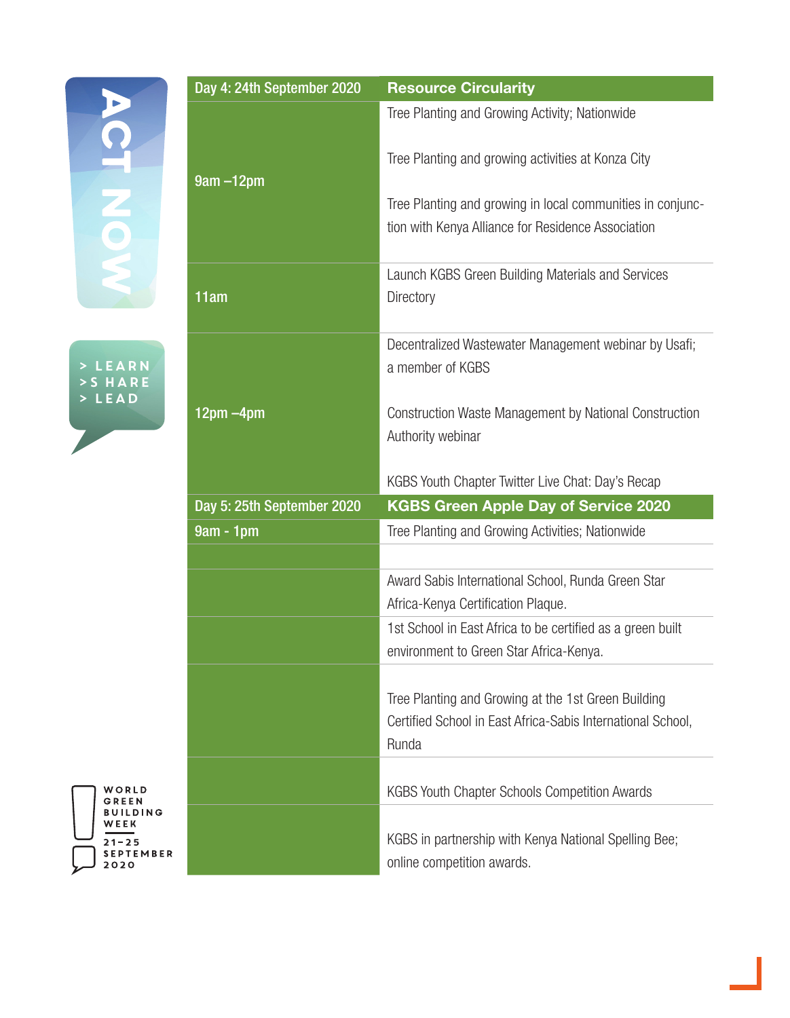

> Learn >S hare > Lead

WORLD<br>GREEN<br>BUILDING<br><u>WEEK</u> 

| Day 4: 24th September 2020 | <b>Resource Circularity</b>                                                                                                 |
|----------------------------|-----------------------------------------------------------------------------------------------------------------------------|
|                            | Tree Planting and Growing Activity; Nationwide                                                                              |
| $9am - 12pm$               | Tree Planting and growing activities at Konza City                                                                          |
|                            | Tree Planting and growing in local communities in conjunc-<br>tion with Kenya Alliance for Residence Association            |
| 11am                       | Launch KGBS Green Building Materials and Services<br>Directory                                                              |
|                            | Decentralized Wastewater Management webinar by Usafi;<br>a member of KGBS                                                   |
| $12pm - 4pm$               | <b>Construction Waste Management by National Construction</b><br>Authority webinar                                          |
|                            | KGBS Youth Chapter Twitter Live Chat: Day's Recap                                                                           |
| Day 5: 25th September 2020 | <b>KGBS Green Apple Day of Service 2020</b>                                                                                 |
| $9am - 1pm$                | Tree Planting and Growing Activities; Nationwide                                                                            |
|                            |                                                                                                                             |
|                            | Award Sabis International School, Runda Green Star<br>Africa-Kenya Certification Plaque.                                    |
|                            | 1st School in East Africa to be certified as a green built<br>environment to Green Star Africa-Kenya.                       |
|                            | Tree Planting and Growing at the 1st Green Building<br>Certified School in East Africa-Sabis International School,<br>Runda |
|                            | <b>KGBS Youth Chapter Schools Competition Awards</b>                                                                        |
|                            | KGBS in partnership with Kenya National Spelling Bee;<br>online competition awards.                                         |